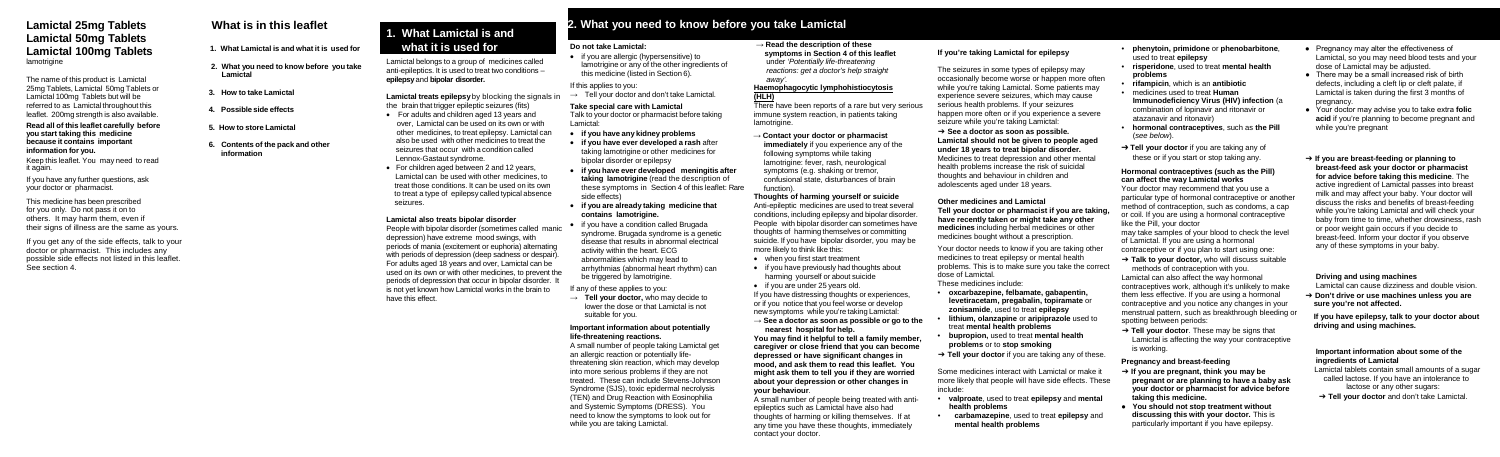## **Lamictal 25mg Tablets Lamictal 50mg Tablets Lamictal 100mg Tablets** lamotrigine

The name of this product is Lamictal 25mg Tablets, Lamictal 50mg Tablets or Lamictal 100mg Tablets but will be referred to as Lamictal throughout this leaflet. 200mg strength is also available.

This medicine has been prescribed for you only. Do not pass it on to others. It may harm them, even if their signs of illness are the same as yours.

#### **Read all of this leaflet carefully before you start taking this medicine because it contains important information for you.**

Keep this leaflet. You may need to read it again.

If you have any further questions, ask your doctor or pharmacist.

If you get any of the side effects, talk to your doctor or pharmacist. This includes any possible side effects not listed in this leaflet. See section 4.

# **What is in this leaflet**

- **1. What Lamictal is and what it is used for**
- **2. What you need to know before you take Lamictal**
- **3. How to take Lamictal**
- **4. Possible side effects**
- **5. How to store Lamictal**
- **6. Contents of the pack and other information**

# **1. What Lamictal is and what it is used for**

Lamictal belongs to a group of medicines called anti-epileptics. It is used to treat two conditions – **epilepsy** and **bipolar disorder.**

**Lamictal treats epilepsy** by blocking the signals in the brain that trigger epileptic seizures (fits)

- **if you have any kidney problems**
- **if you have ever developed a rash** after taking lamotrigine or other medicines for bipolar disorder or epilepsy
- **if you have ever developed meningitis after taking lamotrigine** (read the description of these symptoms in Section 4 of this leaflet: Rare side effects)
- **if you are already taking medicine that contains lamotrigine.**
- if you have a condition called Brugada syndrome. Brugada syndrome is a genetic disease that results in abnormal electrical activity within the heart. ECG abnormalities which may lead to arrhythmias (abnormal heart rhythm) can be triggered by lamotrigine.
- For adults and children aged 13 years and over, Lamictal can be used on its own or with other medicines, to treat epilepsy. Lamictal can also be used with other medicines to treat the seizures that occur with a condition called Lennox-Gastaut syndrome.
- For children aged between 2 and 12 years, Lamictal can be used with other medicines, to treat those conditions. It can be used on its own to treat a type of epilepsy called typical absence seizures.

#### **Lamictal also treats bipolar disorder**

People with bipolar disorder (sometimes called manic depression) have extreme mood swings, with periods of mania (excitement or euphoria) alternating with periods of depression (deep sadness or despair). For adults aged 18 years and over, Lamictal can be used on its own or with other medicines, to prevent the periods of depression that occur in bipolar disorder. It is not yet known how Lamictal works in the brain to have this effect.

## **Do not take Lamictal:**

• if you are allergic (hypersensitive) to lamotrigine or any of the other ingredients of this medicine (listed in Section 6).

#### If this applies to you:

 $\rightarrow$  Tell your doctor and don't take Lamictal.

• if you are under 25 years old. If you have distressing thoughts or experiences, or if you notice that you feel worse or develop new symptoms while you're taking Lamictal:

### **Take special care with Lamictal**

Talk to your doctor or pharmacist before taking Lamictal:

If any of these applies to you:

→ **Tell your doctor,** who may decide to lower the dose or that Lamictal is not suitable for you.

#### **Important information about potentially life-threatening reactions.**

A small number of people taking Lamictal get an allergic reaction or potentially lifethreatening skin reaction, which may develop into more serious problems if they are not treated. These can include Stevens-Johnson Syndrome (SJS), toxic epidermal necrolysis (TEN) and Drug Reaction with Eosinophilia and Systemic Symptoms (DRESS). You need to know the symptoms to look out for while you are taking Lamictal.

### → **Read the description of these symptoms in Section 4 of this leaflet** under '*Potentially life-threatening away'.*

→ **Contact your doctor or pharmacist immediately** if you experience any of the following symptoms while taking lamotrigine: fever, rash, neurological symptoms (e.g. shaking or tremor, confusional state, disturbances of brain function).

### **Thoughts of harming yourself or suicide**

Anti-epileptic medicines are used to treat several conditions, including epilepsy and bipolar disorder. People with bipolar disorder can sometimes have thoughts of harming themselves or committing suicide. If you have bipolar disorder, you may be more likely to think like this:

- when you first start treatment
- if you have previously had thoughts about harming yourself or about suicide
- Pregnancy may alter the effectiveness of Lamictal, so you may need blood tests and your dose of Lamictal may be adjusted.
- There may be a small increased risk of birth defects, including a cleft lip or cleft palate, if Lamictal is taken during the first 3 months of pregnancy.
- Your doctor may advise you to take extra **folic acid** if you're planning to become pregnant and while you're pregnant
- ➔ **If you are breast-feeding or planning to breast-feed ask your doctor or pharmacist for advice before taking this medicine**. The active ingredient of Lamictal passes into breast milk and may affect your baby. Your doctor will discuss the risks and benefits of breast-feeding while you're taking Lamictal and will check your baby from time to time, whether drowsiness, rash or poor weight gain occurs if you decide to breast-feed. Inform your doctor if you observe any of these symptoms in your baby.

 *reactions: get a doctor's help straight* **Haemophagocytic lymphohistiocytosis (HLH)** There have been reports of a rare but very serious immune system reaction, in patients taking lamotrigine. The seizures in some types of epilepsy may occasionally become worse or happen more often while you're taking Lamictal. Some patients may experience severe seizures, which may cause serious health problems. If your seizures happen more often or if you experience a severe seizure while you're taking Lamictal:

## **→ See a doctor as soon as possible or go to the**

**nearest hospital for help. You may find it helpful to tell a family member, caregiver or close friend that you can become depressed or have significant changes in mood, and ask them to read this leaflet. You might ask them to tell you if they are worried about your depression or other changes in your behaviour**.

A small number of people being treated with antiepileptics such as Lamictal have also had thoughts of harming or killing themselves. If at any time you have these thoughts, immediately contact your doctor.

- 
- 
- 
- 
- 
- 
- 

#### **If you're taking Lamictal for epilepsy**

#### ➔ **See a doctor as soon as possible. Lamictal should not be given to people aged under 18 years to treat bipolar disorder.**  Medicines to treat depression and other mental

health problems increase the risk of suicidal thoughts and behaviour in children and adolescents aged under 18 years.

# **2. What you need to know before you take Lamictal**

#### **Other medicines and Lamictal Tell your doctor or pharmacist if you are taking, have recently taken or might take any other medicines** including herbal medicines or other medicines bought without a prescription.

Your doctor needs to know if you are taking other medicines to treat epilepsy or mental health problems. This is to make sure you take the correct dose of Lamictal.

These medicines include:

- **oxcarbazepine, felbamate, gabapentin, levetiracetam, pregabalin, topiramate** or **zonisamide**, used to treat **epilepsy**
- **lithium, olanzapine** or **aripiprazole** used to treat **mental health problems**
- **bupropion,** used to treat **mental health problems** or to **stop smoking**
- ➔ **Tell your doctor** if you are taking any of these.

Some medicines interact with Lamictal or make it more likely that people will have side effects. These include:

- **valproate**, used to treat **epilepsy** and **mental health problems**
- **carbamazepine**, used to treat **epilepsy** and **mental health problems**
- **phenytoin, primidone** or **phenobarbitone**, used to treat **epilepsy**
- **risperidone**, used to treat **mental health problems**
- **rifampicin**, which is an **antibiotic**
- medicines used to treat **Human Immunodeficiency Virus (HIV) infection** (a combination of lopinavir and ritonavir or atazanavir and ritonavir)
- **hormonal contraceptives**, such as **the Pill**  (*see below*).
- ➔ **Tell your doctor** if you are taking any of these or if you start or stop taking any.

#### **Hormonal contraceptives (such as the Pill) can affect the way Lamictal works**

Your doctor may recommend that you use a particular type of hormonal contraceptive or another method of contraception, such as condoms, a cap or coil. If you are using a hormonal contraceptive like the Pill, your doctor

may take samples of your blood to check the level of Lamictal. If you are using a hormonal contraceptive or if you plan to start using one:

➔ **Talk to your doctor,** who will discuss suitable methods of contraception with you.

Lamictal can also affect the way hormonal contraceptives work, although it's unlikely to make them less effective. If you are using a hormonal contraceptive and you notice any changes in your menstrual pattern, such as breakthrough bleeding or spotting between periods:

➔ **Tell your doctor**. These may be signs that Lamictal is affecting the way your contraceptive is working.

#### **Pregnancy and breast-feeding**

- ➔ **If you are pregnant, think you may be pregnant or are planning to have a baby ask your doctor or pharmacist for advice before taking this medicine.**
- **You should not stop treatment without discussing this with your doctor.** This is particularly important if you have epilepsy.

#### **Driving and using machines**

Lamictal can cause dizziness and double vision.

➔ **Don't drive or use machines unless you are sure you're not affected.**

 **If you have epilepsy, talk to your doctor about driving and using machines.**

#### **Important information about some of the ingredients of Lamictal**

- Lamictal tablets contain small amounts of a sugar called lactose. If you have an intolerance to lactose or any other sugars:
- ➔ **Tell your doctor** and don't take Lamictal.